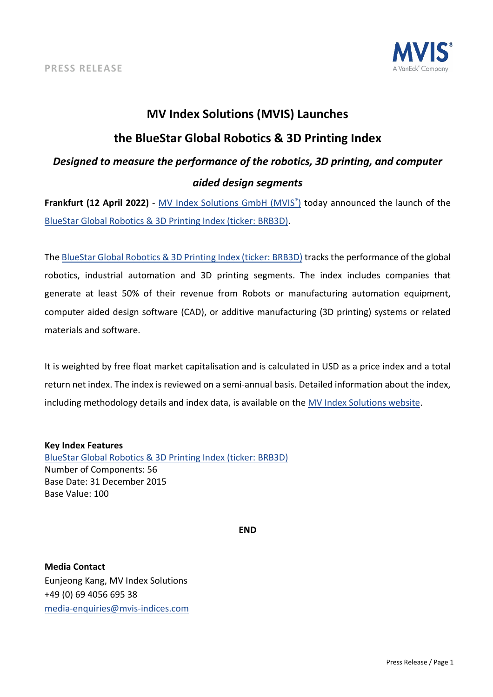

# **MV Index Solutions (MVIS) Launches**

## **the BlueStar Global Robotics & 3D Printing Index**

# *Designed to measure the performance of the robotics, 3D printing, and computer aided design segments*

**Frankfurt (12 April 2022)** - [MV Index Solutions GmbH \(MVIS®\)](https://www.mvis-indices.com/) today announced the launch of th[e](https://mvis-indices.com/indices/sector/BlueStar-Global-Robotics-3D-Printing?utm_source=mvis&utm_medium=pressrelease&utm_campaign=announcement) [BlueStar Global Robotics & 3D Printing Index](https://mvis-indices.com/indices/sector/BlueStar-Global-Robotics-3D-Printing?utm_source=mvis&utm_medium=pressrelease&utm_campaign=announcement) (ticker: BRB3D).

The [BlueStar Global Robotics & 3D Printing Index](https://mvis-indices.com/indices/sector/BlueStar-Global-Robotics-3D-Printing?utm_source=mvis&utm_medium=pressrelease&utm_campaign=announcement) (ticker: BRB3D) tracks the performance of the global robotics, industrial automation and 3D printing segments. The index includes companies that generate at least 50% of their revenue from Robots or manufacturing automation equipment, computer aided design software (CAD), or additive manufacturing (3D printing) systems or related materials and software.

It is weighted by free float market capitalisation and is calculated in USD as a price index and a total return net index. The index is reviewed on a semi-annual basis. Detailed information about the index, including methodology details and index data, is available on th[e MV Index Solutions website.](https://www.mvis-indices.com/?utm_source=mvis&utm_medium=pressrelease&utm_campaign=announcement)

## **Key Index Features**

[BlueStar Global Robotics & 3D Printing Index](https://mvis-indices.com/indices/sector/BlueStar-Global-Robotics-3D-Printing?utm_source=mvis&utm_medium=pressrelease&utm_campaign=announcement) (ticker: BRB3D) Number of Components: 56 Base Date: 31 December 2015 Base Value: 100

**END**

**Media Contact** Eunjeong Kang, MV Index Solutions +49 (0) 69 4056 695 38 [media-enquiries@mvis-indices.com](mailto:media-enquiries@mvis-indices.com)